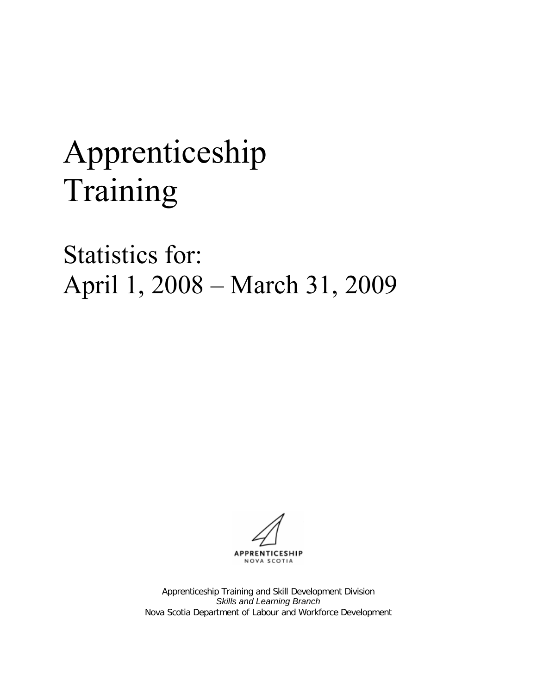# Apprenticeship Training

Statistics for: April 1, 2008 – March 31, 2009

APPRENTICESHIP NOVA SCOTIA

Apprenticeship Training and Skill Development Division *Skills and Learning Branch* Nova Scotia Department of Labour and Workforce Development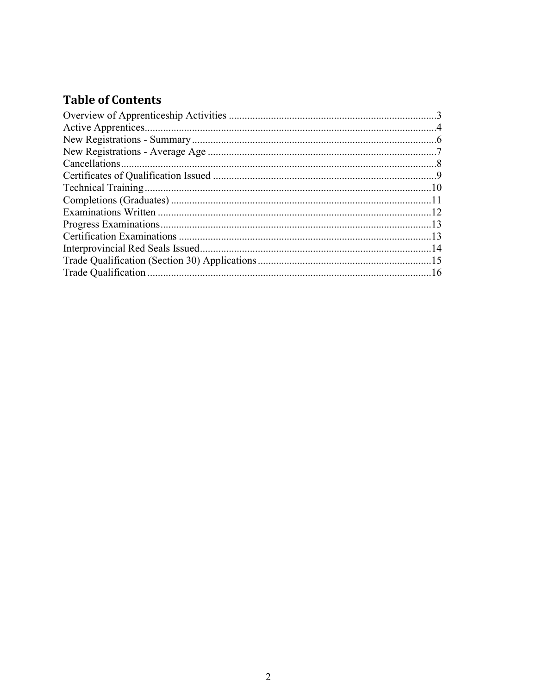## **Table of Contents**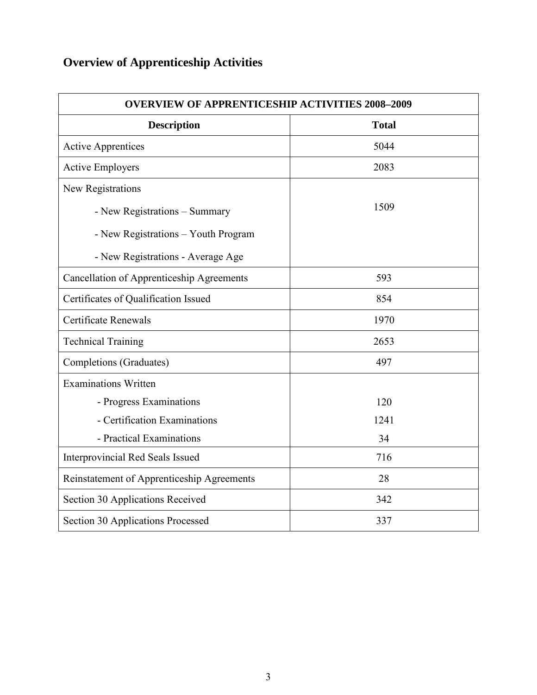# <span id="page-2-0"></span>**Overview of Apprenticeship Activities**

| <b>OVERVIEW OF APPRENTICESHIP ACTIVITIES 2008-2009</b> |              |  |  |  |  |
|--------------------------------------------------------|--------------|--|--|--|--|
| <b>Description</b>                                     | <b>Total</b> |  |  |  |  |
| <b>Active Apprentices</b>                              | 5044         |  |  |  |  |
| <b>Active Employers</b>                                | 2083         |  |  |  |  |
| New Registrations                                      |              |  |  |  |  |
| - New Registrations - Summary                          | 1509         |  |  |  |  |
| - New Registrations - Youth Program                    |              |  |  |  |  |
| - New Registrations - Average Age                      |              |  |  |  |  |
| <b>Cancellation of Apprenticeship Agreements</b>       | 593          |  |  |  |  |
| Certificates of Qualification Issued                   | 854          |  |  |  |  |
| Certificate Renewals                                   | 1970         |  |  |  |  |
| <b>Technical Training</b>                              | 2653         |  |  |  |  |
| Completions (Graduates)                                | 497          |  |  |  |  |
| <b>Examinations Written</b>                            |              |  |  |  |  |
| - Progress Examinations                                | 120          |  |  |  |  |
| - Certification Examinations                           | 1241         |  |  |  |  |
| - Practical Examinations                               | 34           |  |  |  |  |
| Interprovincial Red Seals Issued                       | 716          |  |  |  |  |
| Reinstatement of Apprenticeship Agreements             | 28           |  |  |  |  |
| Section 30 Applications Received                       | 342          |  |  |  |  |
| Section 30 Applications Processed                      | 337          |  |  |  |  |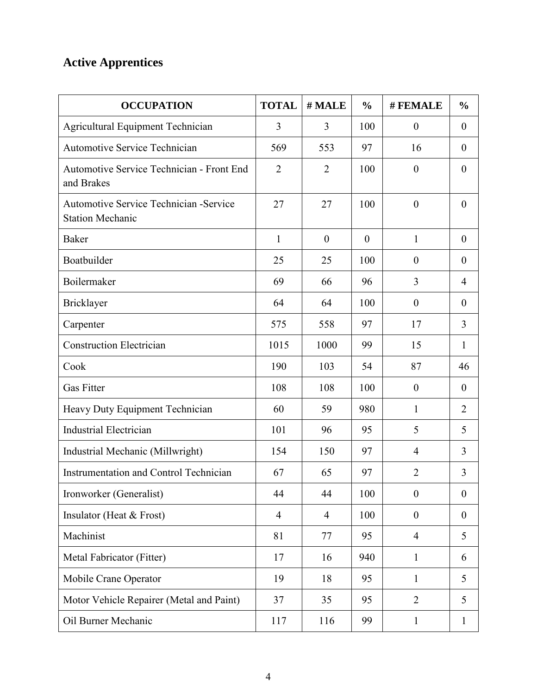# <span id="page-3-0"></span>**Active Apprentices**

| <b>OCCUPATION</b>                                                         | <b>TOTAL</b>   | # MALE           | $\frac{0}{0}$ | # FEMALE         | $\frac{0}{0}$    |
|---------------------------------------------------------------------------|----------------|------------------|---------------|------------------|------------------|
| <b>Agricultural Equipment Technician</b>                                  | 3              | 3                | 100           | $\boldsymbol{0}$ | $\boldsymbol{0}$ |
| <b>Automotive Service Technician</b>                                      | 569            | 553              | 97            | 16               | $\boldsymbol{0}$ |
| Automotive Service Technician - Front End<br>and Brakes                   | $\overline{2}$ | $\overline{2}$   | 100           | $\boldsymbol{0}$ | $\boldsymbol{0}$ |
| <b>Automotive Service Technician - Service</b><br><b>Station Mechanic</b> | 27             | 27               | 100           | $\boldsymbol{0}$ | $\theta$         |
| <b>Baker</b>                                                              | $\mathbf{1}$   | $\boldsymbol{0}$ | $\theta$      | $\mathbf{1}$     | $\boldsymbol{0}$ |
| Boatbuilder                                                               | 25             | 25               | 100           | $\boldsymbol{0}$ | $\boldsymbol{0}$ |
| Boilermaker                                                               | 69             | 66               | 96            | 3                | $\overline{4}$   |
| Bricklayer                                                                | 64             | 64               | 100           | $\boldsymbol{0}$ | $\boldsymbol{0}$ |
| Carpenter                                                                 | 575            | 558              | 97            | 17               | 3                |
| <b>Construction Electrician</b>                                           | 1015           | 1000             | 99            | 15               | $\mathbf{1}$     |
| Cook                                                                      | 190            | 103              | 54            | 87               | 46               |
| <b>Gas Fitter</b>                                                         | 108            | 108              | 100           | $\boldsymbol{0}$ | $\boldsymbol{0}$ |
| Heavy Duty Equipment Technician                                           | 60             | 59               | 980           | 1                | $\overline{2}$   |
| <b>Industrial Electrician</b>                                             | 101            | 96               | 95            | 5                | 5                |
| Industrial Mechanic (Millwright)                                          | 154            | 150              | 97            | $\overline{4}$   | 3                |
| <b>Instrumentation and Control Technician</b>                             | 67             | 65               | 97            | $\overline{2}$   | 3                |
| Ironworker (Generalist)                                                   | 44             | 44               | 100           | $\boldsymbol{0}$ | $\boldsymbol{0}$ |
| Insulator (Heat & Frost)                                                  | $\overline{4}$ | $\overline{4}$   | 100           | $\boldsymbol{0}$ | $\boldsymbol{0}$ |
| Machinist                                                                 | 81             | 77               | 95            | $\overline{4}$   | 5                |
| Metal Fabricator (Fitter)                                                 | 17             | 16               | 940           | $\mathbf{1}$     | 6                |
| Mobile Crane Operator                                                     | 19             | 18               | 95            | $\mathbf{1}$     | 5                |
| Motor Vehicle Repairer (Metal and Paint)                                  | 37             | 35               | 95            | $\overline{2}$   | 5                |
| Oil Burner Mechanic                                                       | 117            | 116              | 99            | $\mathbf{1}$     | $\mathbf{1}$     |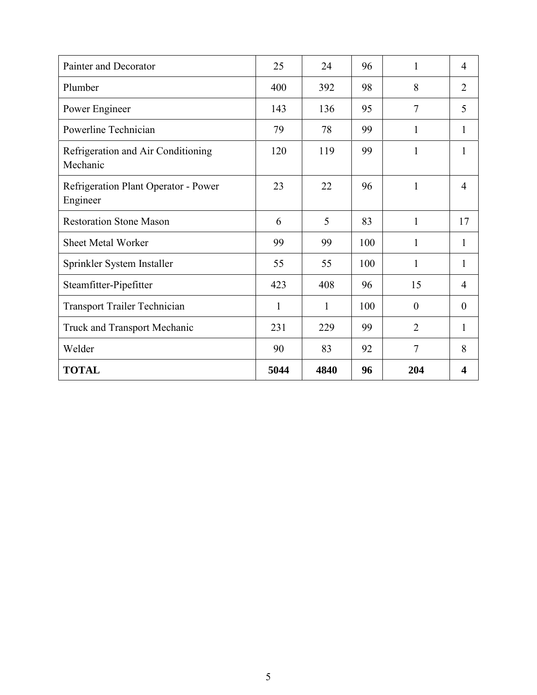| Painter and Decorator                            | 25   | 24   | 96  | 1              | $\overline{4}$ |
|--------------------------------------------------|------|------|-----|----------------|----------------|
| Plumber                                          | 400  | 392  | 98  | 8              | $\overline{2}$ |
| Power Engineer                                   | 143  | 136  | 95  | $\overline{7}$ | 5              |
| Powerline Technician                             | 79   | 78   | 99  | 1              | 1              |
| Refrigeration and Air Conditioning<br>Mechanic   | 120  | 119  | 99  | 1              | 1              |
| Refrigeration Plant Operator - Power<br>Engineer | 23   | 22   | 96  | 1              | $\overline{4}$ |
| <b>Restoration Stone Mason</b>                   | 6    | 5    | 83  | 1              | 17             |
| Sheet Metal Worker                               | 99   | 99   | 100 | 1              | 1              |
| Sprinkler System Installer                       | 55   | 55   | 100 | 1              | 1              |
| Steamfitter-Pipefitter                           | 423  | 408  | 96  | 15             | $\overline{4}$ |
| <b>Transport Trailer Technician</b>              | 1    | 1    | 100 | $\overline{0}$ | $\overline{0}$ |
| Truck and Transport Mechanic                     | 231  | 229  | 99  | $\overline{2}$ | 1              |
| Welder                                           | 90   | 83   | 92  | $\overline{7}$ | 8              |
| <b>TOTAL</b>                                     | 5044 | 4840 | 96  | 204            | 4              |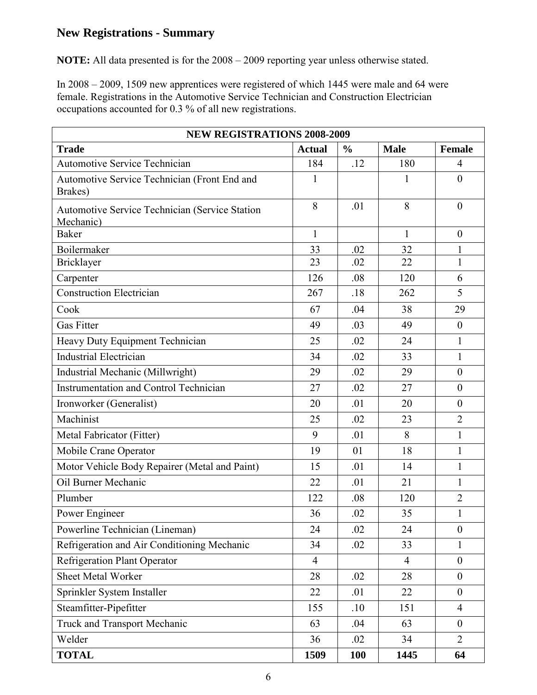#### <span id="page-5-0"></span>**New Registrations - Summary**

**NOTE:** All data presented is for the 2008 – 2009 reporting year unless otherwise stated.

In 2008 – 2009, 1509 new apprentices were registered of which 1445 were male and 64 were female. Registrations in the Automotive Service Technician and Construction Electrician occupations accounted for 0.3 % of all new registrations.

| <b>NEW REGISTRATIONS 2008-2009</b>                                 |                |               |                |                  |
|--------------------------------------------------------------------|----------------|---------------|----------------|------------------|
| <b>Trade</b>                                                       | <b>Actual</b>  | $\frac{6}{9}$ | <b>Male</b>    | Female           |
| <b>Automotive Service Technician</b>                               | 184            | .12           | 180            | 4                |
| Automotive Service Technician (Front End and<br>Brakes)            | $\mathbf{1}$   |               | 1              | $\overline{0}$   |
| <b>Automotive Service Technician (Service Station</b><br>Mechanic) | 8              | .01           | 8              | $\theta$         |
| <b>Baker</b>                                                       | $\mathbf{1}$   |               | $\mathbf{1}$   | $\boldsymbol{0}$ |
| Boilermaker                                                        | 33             | .02           | 32             | 1                |
| Bricklayer                                                         | 23             | .02           | 22             | $\mathbf{1}$     |
| Carpenter                                                          | 126            | .08           | 120            | 6                |
| <b>Construction Electrician</b>                                    | 267            | .18           | 262            | 5                |
| Cook                                                               | 67             | .04           | 38             | 29               |
| <b>Gas Fitter</b>                                                  | 49             | .03           | 49             | $\boldsymbol{0}$ |
| Heavy Duty Equipment Technician                                    | 25             | .02           | 24             | $\mathbf{1}$     |
| <b>Industrial Electrician</b>                                      | 34             | .02           | 33             | $\mathbf{1}$     |
| Industrial Mechanic (Millwright)                                   | 29             | .02           | 29             | $\overline{0}$   |
| <b>Instrumentation and Control Technician</b>                      | 27             | .02           | 27             | $\boldsymbol{0}$ |
| Ironworker (Generalist)                                            | 20             | .01           | 20             | $\boldsymbol{0}$ |
| Machinist                                                          | 25             | .02           | 23             | $\overline{2}$   |
| Metal Fabricator (Fitter)                                          | 9              | .01           | 8              | $\mathbf{1}$     |
| Mobile Crane Operator                                              | 19             | 01            | 18             | $\mathbf{1}$     |
| Motor Vehicle Body Repairer (Metal and Paint)                      | 15             | .01           | 14             | $\mathbf{1}$     |
| Oil Burner Mechanic                                                | 22             | .01           | 21             | $\mathbf{1}$     |
| Plumber                                                            | 122            | .08           | 120            | $\overline{2}$   |
| Power Engineer                                                     | 36             | .02           | 35             | $\mathbf{1}$     |
| Powerline Technician (Lineman)                                     | 24             | .02           | 24             | $\boldsymbol{0}$ |
| Refrigeration and Air Conditioning Mechanic                        | 34             | .02           | 33             | $\mathbf{1}$     |
| <b>Refrigeration Plant Operator</b>                                | $\overline{4}$ |               | $\overline{4}$ | $\boldsymbol{0}$ |
| <b>Sheet Metal Worker</b>                                          | 28             | .02           | 28             | $\boldsymbol{0}$ |
| Sprinkler System Installer                                         | 22             | .01           | 22             | $\boldsymbol{0}$ |
| Steamfitter-Pipefitter                                             | 155            | .10           | 151            | $\overline{4}$   |
| Truck and Transport Mechanic                                       | 63             | .04           | 63             | $\overline{0}$   |
| Welder                                                             | 36             | .02           | 34             | $\overline{2}$   |
| <b>TOTAL</b>                                                       | 1509           | <b>100</b>    | 1445           | 64               |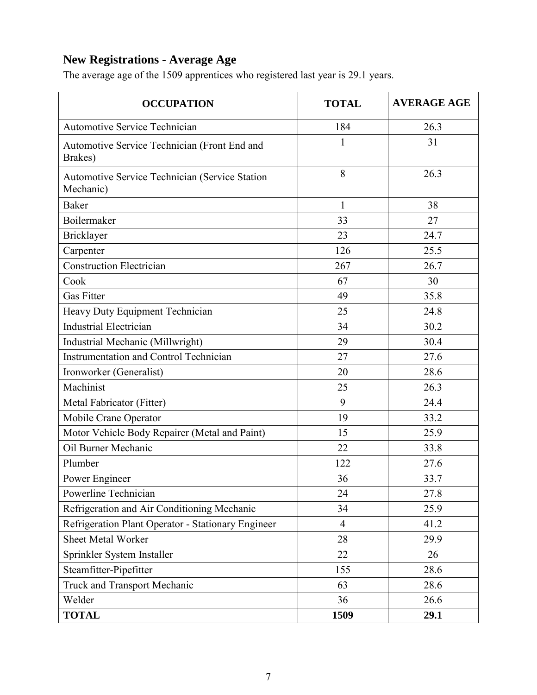## <span id="page-6-0"></span>**New Registrations - Average Age**

The average age of the 1509 apprentices who registered last year is 29.1 years.

| <b>OCCUPATION</b>                                                  | <b>TOTAL</b>   | <b>AVERAGE AGE</b> |
|--------------------------------------------------------------------|----------------|--------------------|
| <b>Automotive Service Technician</b>                               | 184            | 26.3               |
| Automotive Service Technician (Front End and<br>Brakes)            | $\mathbf{1}$   | 31                 |
| <b>Automotive Service Technician (Service Station</b><br>Mechanic) | 8              | 26.3               |
| <b>Baker</b>                                                       | $\mathbf{1}$   | 38                 |
| Boilermaker                                                        | 33             | 27                 |
| Bricklayer                                                         | 23             | 24.7               |
| Carpenter                                                          | 126            | 25.5               |
| <b>Construction Electrician</b>                                    | 267            | 26.7               |
| Cook                                                               | 67             | 30                 |
| <b>Gas Fitter</b>                                                  | 49             | 35.8               |
| Heavy Duty Equipment Technician                                    | 25             | 24.8               |
| <b>Industrial Electrician</b>                                      | 34             | 30.2               |
| Industrial Mechanic (Millwright)                                   | 29             | 30.4               |
| <b>Instrumentation and Control Technician</b>                      | 27             | 27.6               |
| Ironworker (Generalist)                                            | 20             | 28.6               |
| Machinist                                                          | 25             | 26.3               |
| Metal Fabricator (Fitter)                                          | 9              | 24.4               |
| Mobile Crane Operator                                              | 19             | 33.2               |
| Motor Vehicle Body Repairer (Metal and Paint)                      | 15             | 25.9               |
| Oil Burner Mechanic                                                | 22             | 33.8               |
| Plumber                                                            | 122            | 27.6               |
| Power Engineer                                                     | 36             | 33.7               |
| Powerline Technician                                               | 24             | 27.8               |
| Refrigeration and Air Conditioning Mechanic                        | 34             | 25.9               |
| Refrigeration Plant Operator - Stationary Engineer                 | $\overline{4}$ | 41.2               |
| <b>Sheet Metal Worker</b>                                          | 28             | 29.9               |
| Sprinkler System Installer                                         | 22             | 26                 |
| Steamfitter-Pipefitter                                             | 155            | 28.6               |
| <b>Truck and Transport Mechanic</b>                                | 63             | 28.6               |
| Welder                                                             | 36             | 26.6               |
| <b>TOTAL</b>                                                       | 1509           | 29.1               |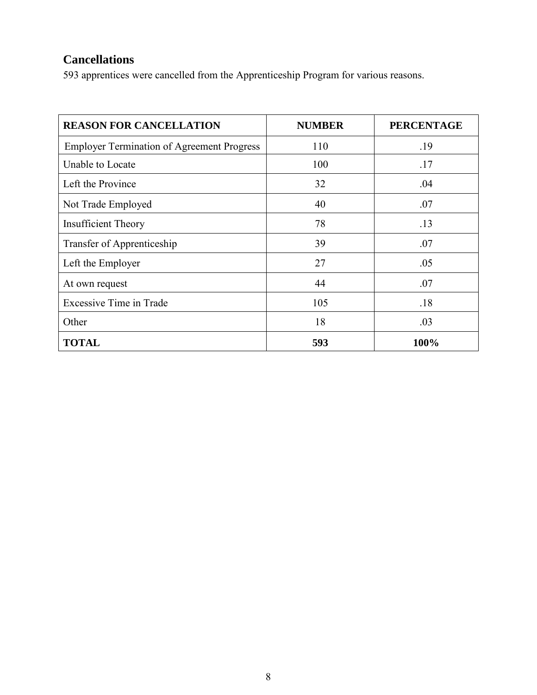## <span id="page-7-0"></span>**Cancellations**

593 apprentices were cancelled from the Apprenticeship Program for various reasons.

| <b>REASON FOR CANCELLATION</b>                    | <b>NUMBER</b> | <b>PERCENTAGE</b> |
|---------------------------------------------------|---------------|-------------------|
| <b>Employer Termination of Agreement Progress</b> | 110           | .19               |
| Unable to Locate                                  | 100           | .17               |
| Left the Province                                 | 32            | .04               |
| Not Trade Employed                                | 40            | .07               |
| <b>Insufficient Theory</b>                        | 78            | .13               |
| Transfer of Apprenticeship                        | 39            | .07               |
| Left the Employer                                 | 27            | .05               |
| At own request                                    | 44            | .07               |
| <b>Excessive Time in Trade</b>                    | 105           | .18               |
| Other                                             | 18            | .03               |
| <b>TOTAL</b>                                      | 593           | 100%              |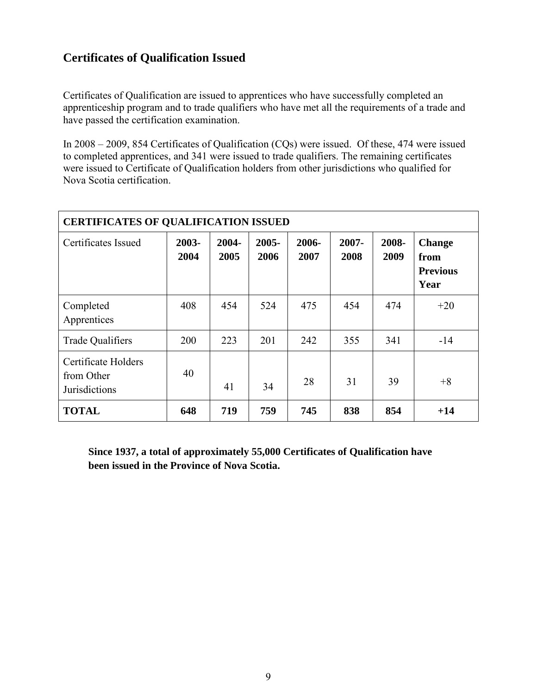#### <span id="page-8-0"></span>**Certificates of Qualification Issued**

Certificates of Qualification are issued to apprentices who have successfully completed an apprenticeship program and to trade qualifiers who have met all the requirements of a trade and have passed the certification examination.

In 2008 – 2009, 854 Certificates of Qualification (CQs) were issued. Of these, 474 were issued to completed apprentices, and 341 were issued to trade qualifiers. The remaining certificates were issued to Certificate of Qualification holders from other jurisdictions who qualified for Nova Scotia certification.

| <b>CERTIFICATES OF QUALIFICATION ISSUED</b>               |               |               |                  |               |                  |               |                                                  |  |
|-----------------------------------------------------------|---------------|---------------|------------------|---------------|------------------|---------------|--------------------------------------------------|--|
| Certificates Issued                                       | 2003-<br>2004 | 2004-<br>2005 | $2005 -$<br>2006 | 2006-<br>2007 | $2007 -$<br>2008 | 2008-<br>2009 | <b>Change</b><br>from<br><b>Previous</b><br>Year |  |
| Completed<br>Apprentices                                  | 408           | 454           | 524              | 475           | 454              | 474           | $+20$                                            |  |
| <b>Trade Qualifiers</b>                                   | 200           | 223           | 201              | 242           | 355              | 341           | $-14$                                            |  |
| Certificate Holders<br>from Other<br><b>Jurisdictions</b> | 40            | 41            | 34               | 28            | 31               | 39            | $+8$                                             |  |
| <b>TOTAL</b>                                              | 648           | 719           | 759              | 745           | 838              | 854           | $+14$                                            |  |

**Since 1937, a total of approximately 55,000 Certificates of Qualification have been issued in the Province of Nova Scotia.**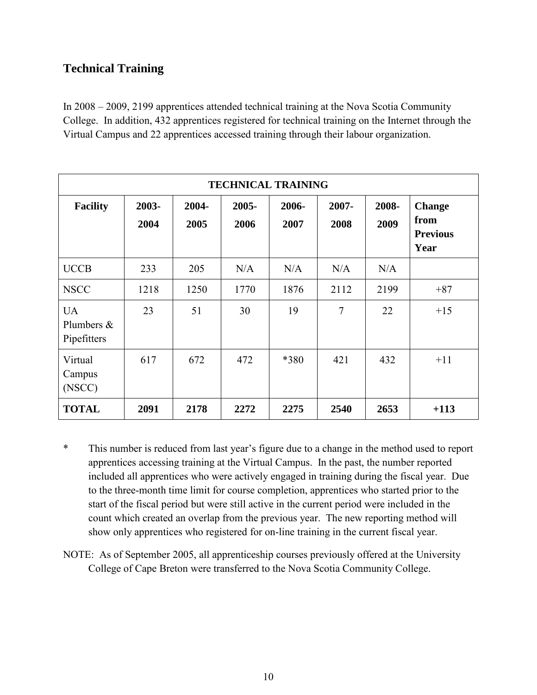#### <span id="page-9-0"></span>**Technical Training**

In 2008 – 2009, 2199 apprentices attended technical training at the Nova Scotia Community College. In addition, 432 apprentices registered for technical training on the Internet through the Virtual Campus and 22 apprentices accessed training through their labour organization.

| <b>TECHNICAL TRAINING</b>                 |               |               |               |               |               |               |                                                  |  |  |
|-------------------------------------------|---------------|---------------|---------------|---------------|---------------|---------------|--------------------------------------------------|--|--|
| <b>Facility</b>                           | 2003-<br>2004 | 2004-<br>2005 | 2005-<br>2006 | 2006-<br>2007 | 2007-<br>2008 | 2008-<br>2009 | <b>Change</b><br>from<br><b>Previous</b><br>Year |  |  |
| <b>UCCB</b>                               | 233           | 205           | N/A           | N/A           | N/A           | N/A           |                                                  |  |  |
| <b>NSCC</b>                               | 1218          | 1250          | 1770          | 1876          | 2112          | 2199          | $+87$                                            |  |  |
| <b>UA</b><br>Plumbers $\&$<br>Pipefitters | 23            | 51            | 30            | 19            | 7             | 22            | $+15$                                            |  |  |
| Virtual<br>Campus<br>(NSCC)               | 617           | 672           | 472           | *380          | 421           | 432           | $+11$                                            |  |  |
| <b>TOTAL</b>                              | 2091          | 2178          | 2272          | 2275          | 2540          | 2653          | $+113$                                           |  |  |

- \* This number is reduced from last year's figure due to a change in the method used to report apprentices accessing training at the Virtual Campus. In the past, the number reported included all apprentices who were actively engaged in training during the fiscal year. Due to the three-month time limit for course completion, apprentices who started prior to the start of the fiscal period but were still active in the current period were included in the count which created an overlap from the previous year. The new reporting method will show only apprentices who registered for on-line training in the current fiscal year.
- NOTE: As of September 2005, all apprenticeship courses previously offered at the University College of Cape Breton were transferred to the Nova Scotia Community College.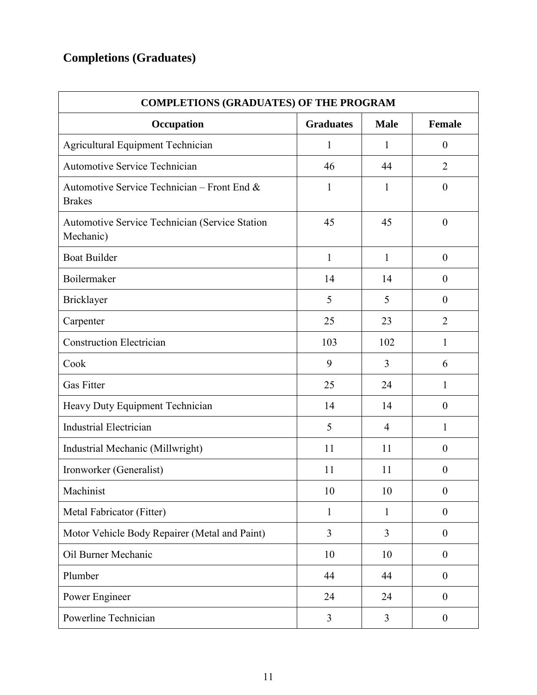# <span id="page-10-0"></span>**Completions (Graduates)**

| <b>COMPLETIONS (GRADUATES) OF THE PROGRAM</b>                      |                  |                |                  |  |  |  |  |
|--------------------------------------------------------------------|------------------|----------------|------------------|--|--|--|--|
| Occupation                                                         | <b>Graduates</b> | <b>Male</b>    | <b>Female</b>    |  |  |  |  |
| Agricultural Equipment Technician                                  | $\mathbf{1}$     | $\mathbf{1}$   | $\boldsymbol{0}$ |  |  |  |  |
| <b>Automotive Service Technician</b>                               | 46               | 44             | $\overline{2}$   |  |  |  |  |
| Automotive Service Technician – Front End $\&$<br><b>Brakes</b>    | $\mathbf{1}$     | $\mathbf{1}$   | $\boldsymbol{0}$ |  |  |  |  |
| <b>Automotive Service Technician (Service Station</b><br>Mechanic) | 45               | 45             | $\boldsymbol{0}$ |  |  |  |  |
| <b>Boat Builder</b>                                                | $\mathbf{1}$     | $\mathbf{1}$   | $\boldsymbol{0}$ |  |  |  |  |
| Boilermaker                                                        | 14               | 14             | $\boldsymbol{0}$ |  |  |  |  |
| <b>Bricklayer</b>                                                  | 5                | 5              | $\boldsymbol{0}$ |  |  |  |  |
| Carpenter                                                          | 25               | 23             | $\overline{2}$   |  |  |  |  |
| <b>Construction Electrician</b>                                    | 103              | 102            | $\mathbf{1}$     |  |  |  |  |
| Cook                                                               | 9                | 3              | 6                |  |  |  |  |
| <b>Gas Fitter</b>                                                  | 25               | 24             | $\mathbf{1}$     |  |  |  |  |
| Heavy Duty Equipment Technician                                    | 14               | 14             | $\boldsymbol{0}$ |  |  |  |  |
| <b>Industrial Electrician</b>                                      | 5                | $\overline{4}$ | $\mathbf{1}$     |  |  |  |  |
| Industrial Mechanic (Millwright)                                   | 11               | 11             | $\boldsymbol{0}$ |  |  |  |  |
| Ironworker (Generalist)                                            | 11               | 11             | $\boldsymbol{0}$ |  |  |  |  |
| Machinist                                                          | 10               | 10             | $\boldsymbol{0}$ |  |  |  |  |
| Metal Fabricator (Fitter)                                          | $\mathbf{1}$     | $\mathbf{1}$   | $\boldsymbol{0}$ |  |  |  |  |
| Motor Vehicle Body Repairer (Metal and Paint)                      | 3                | $\overline{3}$ | $\boldsymbol{0}$ |  |  |  |  |
| Oil Burner Mechanic                                                | 10               | 10             | $\boldsymbol{0}$ |  |  |  |  |
| Plumber                                                            | 44               | 44             | $\boldsymbol{0}$ |  |  |  |  |
| Power Engineer                                                     | 24               | 24             | $\boldsymbol{0}$ |  |  |  |  |
| Powerline Technician                                               | 3                | $\overline{3}$ | $\boldsymbol{0}$ |  |  |  |  |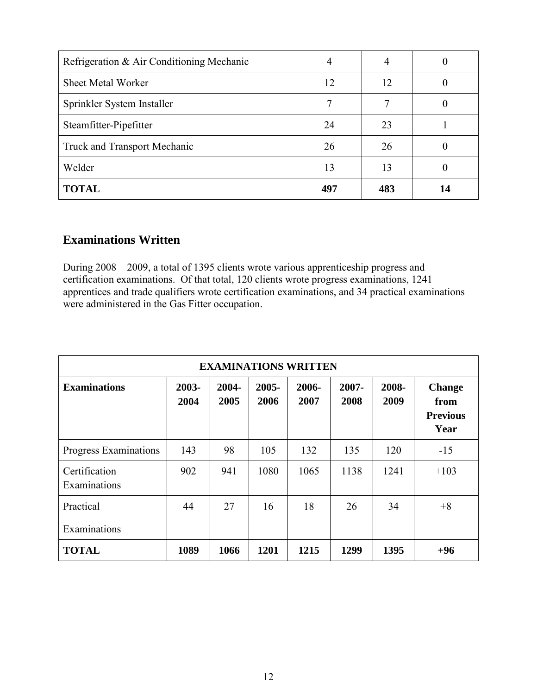| Refrigeration & Air Conditioning Mechanic | 4   |     |    |
|-------------------------------------------|-----|-----|----|
| <b>Sheet Metal Worker</b>                 | 12  | 12  |    |
| Sprinkler System Installer                | 7   |     |    |
| Steamfitter-Pipefitter                    | 24  | 23  |    |
| <b>Truck and Transport Mechanic</b>       | 26  | 26  |    |
| Welder                                    | 13  | 13  |    |
| <b>TOTAL</b>                              | 497 | 483 | 14 |

#### <span id="page-11-0"></span>**Examinations Written**

During 2008 – 2009, a total of 1395 clients wrote various apprenticeship progress and certification examinations. Of that total, 120 clients wrote progress examinations, 1241 apprentices and trade qualifiers wrote certification examinations, and 34 practical examinations were administered in the Gas Fitter occupation.

<span id="page-11-1"></span>

| <b>EXAMINATIONS WRITTEN</b>   |               |               |               |               |               |               |                                                  |  |
|-------------------------------|---------------|---------------|---------------|---------------|---------------|---------------|--------------------------------------------------|--|
| <b>Examinations</b>           | 2003-<br>2004 | 2004-<br>2005 | 2005-<br>2006 | 2006-<br>2007 | 2007-<br>2008 | 2008-<br>2009 | <b>Change</b><br>from<br><b>Previous</b><br>Year |  |
| Progress Examinations         | 143           | 98            | 105           | 132           | 135           | 120           | $-15$                                            |  |
| Certification<br>Examinations | 902           | 941           | 1080          | 1065          | 1138          | 1241          | $+103$                                           |  |
| Practical                     | 44            | 27            | 16            | 18            | 26            | 34            | $+8$                                             |  |
| Examinations                  |               |               |               |               |               |               |                                                  |  |
| <b>TOTAL</b>                  | 1089          | 1066          | 1201          | 1215          | 1299          | 1395          | $+96$                                            |  |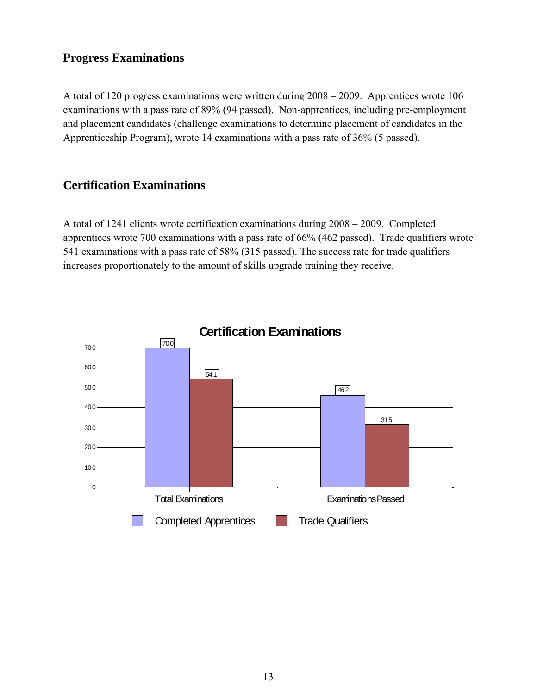#### **Progress Examinations**

A total of 120 progress examinations were written during 2008 – 2009. Apprentices wrote 106 examinations with a pass rate of 89% (94 passed). Non-apprentices, including pre-employment and placement candidates (challenge examinations to determine placement of candidates in the Apprenticeship Program), wrote 14 examinations with a pass rate of 36% (5 passed).

#### <span id="page-12-0"></span>**Certification Examinations**

A total of 1241 clients wrote certification examinations during 2008 – 2009. Completed apprentices wrote 700 examinations with a pass rate of 66% (462 passed). Trade qualifiers wrote 541 examinations with a pass rate of 58% (315 passed). The success rate for trade qualifiers increases proportionately to the amount of skills upgrade training they receive.

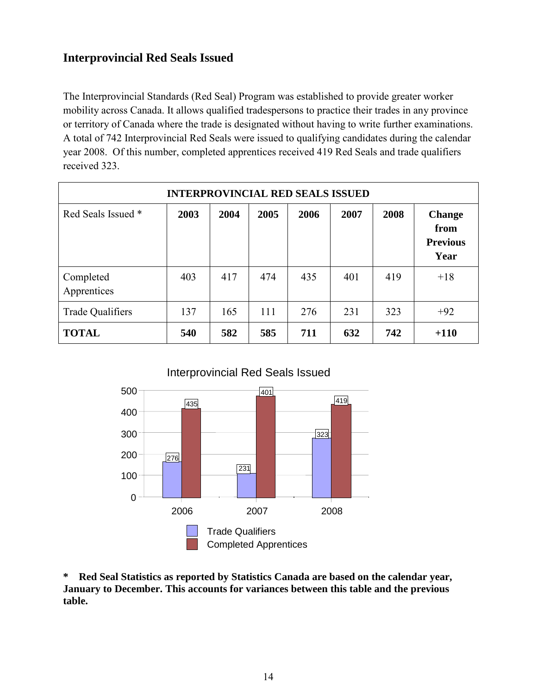#### <span id="page-13-0"></span>**Interprovincial Red Seals Issued**

The Interprovincial Standards (Red Seal) Program was established to provide greater worker mobility across Canada. It allows qualified tradespersons to practice their trades in any province or territory of Canada where the trade is designated without having to write further examinations. A total of 742 Interprovincial Red Seals were issued to qualifying candidates during the calendar year 2008. Of this number, completed apprentices received 419 Red Seals and trade qualifiers received 323.

| <b>INTERPROVINCIAL RED SEALS ISSUED</b> |      |      |      |      |      |      |                                                  |
|-----------------------------------------|------|------|------|------|------|------|--------------------------------------------------|
| Red Seals Issued *                      | 2003 | 2004 | 2005 | 2006 | 2007 | 2008 | <b>Change</b><br>from<br><b>Previous</b><br>Year |
| Completed<br>Apprentices                | 403  | 417  | 474  | 435  | 401  | 419  | $+18$                                            |
| Trade Qualifiers                        | 137  | 165  | 111  | 276  | 231  | 323  | $+92$                                            |
| <b>TOTAL</b>                            | 540  | 582  | 585  | 711  | 632  | 742  | $+110$                                           |



**\* Red Seal Statistics as reported by Statistics Canada are based on the calendar year, January to December. This accounts for variances between this table and the previous table.**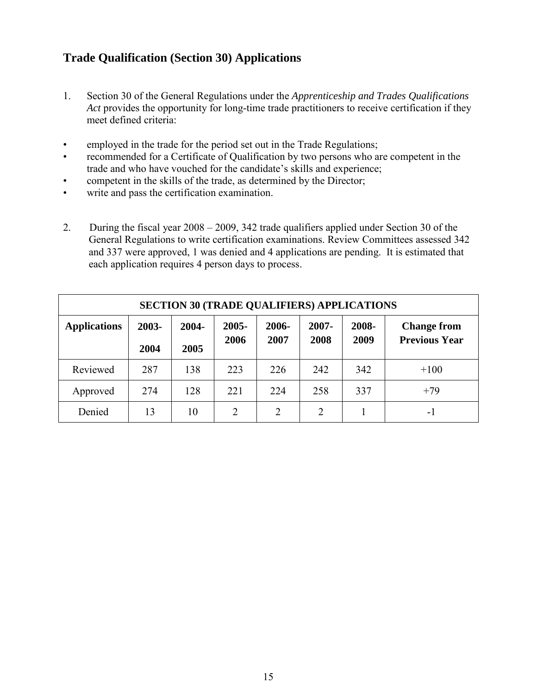#### <span id="page-14-0"></span>**Trade Qualification (Section 30) Applications**

- 1. Section 30 of the General Regulations under the *Apprenticeship and Trades Qualifications Act* provides the opportunity for long-time trade practitioners to receive certification if they meet defined criteria:
- employed in the trade for the period set out in the Trade Regulations;
- recommended for a Certificate of Qualification by two persons who are competent in the trade and who have vouched for the candidate's skills and experience;
- competent in the skills of the trade, as determined by the Director;
- write and pass the certification examination.
- 2. During the fiscal year 2008 2009, 342 trade qualifiers applied under Section 30 of the General Regulations to write certification examinations. Review Committees assessed 342 and 337 were approved, 1 was denied and 4 applications are pending. It is estimated that each application requires 4 person days to process.

| <b>SECTION 30 (TRADE QUALIFIERS) APPLICATIONS</b> |       |       |                |                |                |       |                      |
|---------------------------------------------------|-------|-------|----------------|----------------|----------------|-------|----------------------|
| <b>Applications</b>                               | 2003- | 2004- | $2005 -$       | 2006-<br>2007- |                | 2008- | <b>Change from</b>   |
|                                                   | 2004  | 2005  | 2006           | 2007           | 2008           | 2009  | <b>Previous Year</b> |
| Reviewed                                          | 287   | 138   | 223            | 226            | 242            | 342   | $+100$               |
| Approved                                          | 274   | 128   | 221            | 224            | 258            | 337   | $+79$                |
| Denied                                            | 13    | 10    | $\overline{2}$ | $\overline{2}$ | $\overline{2}$ |       | - 1                  |